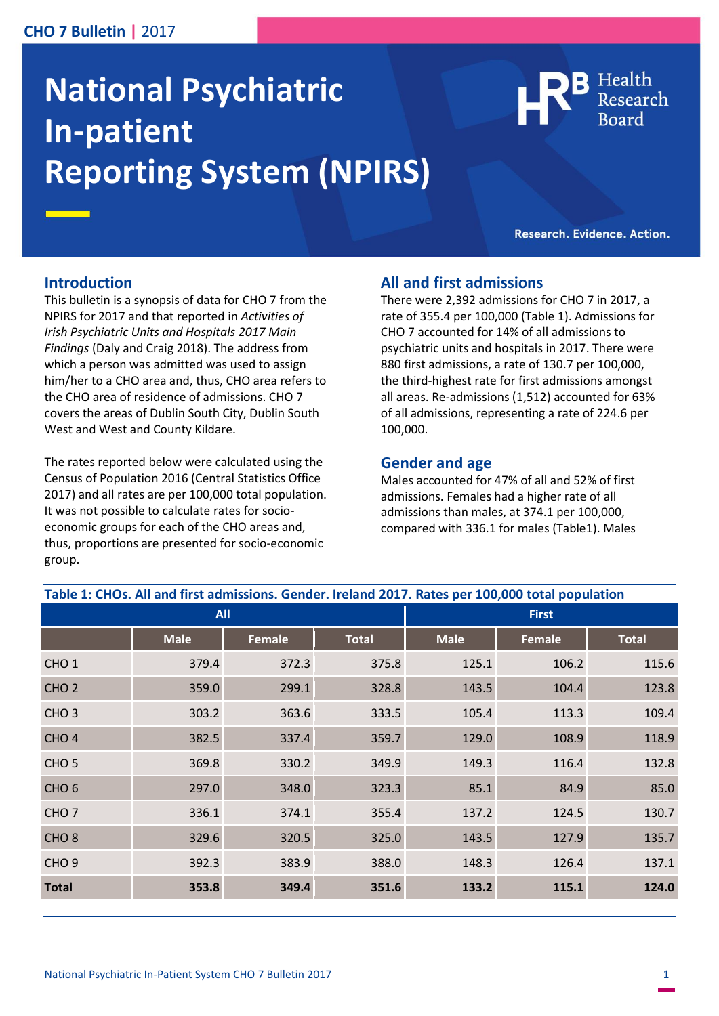#### **CHO 7 Bulletin |** 2017

# **National Psychiatric In-patient Reporting System (NPIRS)**

Health

Research. Evidence. Action.

#### **Introduction**

This bulletin is a synopsis of data for CHO 7 from the NPIRS for 2017 and that reported in *Activities of Irish Psychiatric Units and Hospitals 2017 Main Findings* (Daly and Craig 2018). The address from which a person was admitted was used to assign him/her to a CHO area and, thus, CHO area refers to the CHO area of residence of admissions. CHO 7 covers the areas of Dublin South City, Dublin South West and West and County Kildare.

The rates reported below were calculated using the Census of Population 2016 (Central Statistics Office 2017) and all rates are per 100,000 total population. It was not possible to calculate rates for socioeconomic groups for each of the CHO areas and, thus, proportions are presented for socio-economic group.

#### **All and first admissions**

There were 2,392 admissions for CHO 7 in 2017, a rate of 355.4 per 100,000 (Table 1). Admissions for CHO 7 accounted for 14% of all admissions to psychiatric units and hospitals in 2017. There were 880 first admissions, a rate of 130.7 per 100,000, the third-highest rate for first admissions amongst all areas. Re-admissions (1,512) accounted for 63% of all admissions, representing a rate of 224.6 per 100,000.

#### **Gender and age**

Males accounted for 47% of all and 52% of first admissions. Females had a higher rate of all admissions than males, at 374.1 per 100,000, compared with 336.1 for males (Table1). Males

| Table 1: CHOs. All and first admissions. Gender. Ireland 2017. Rates per 100,000 total population |             |               |              |              |               |              |
|---------------------------------------------------------------------------------------------------|-------------|---------------|--------------|--------------|---------------|--------------|
| <b>All</b>                                                                                        |             |               |              | <b>First</b> |               |              |
|                                                                                                   | <b>Male</b> | <b>Female</b> | <b>Total</b> | <b>Male</b>  | <b>Female</b> | <b>Total</b> |
| CHO <sub>1</sub>                                                                                  | 379.4       | 372.3         | 375.8        | 125.1        | 106.2         | 115.6        |
| CHO <sub>2</sub>                                                                                  | 359.0       | 299.1         | 328.8        | 143.5        | 104.4         | 123.8        |
| CHO <sub>3</sub>                                                                                  | 303.2       | 363.6         | 333.5        | 105.4        | 113.3         | 109.4        |
| CHO <sub>4</sub>                                                                                  | 382.5       | 337.4         | 359.7        | 129.0        | 108.9         | 118.9        |
| CHO <sub>5</sub>                                                                                  | 369.8       | 330.2         | 349.9        | 149.3        | 116.4         | 132.8        |
| CHO <sub>6</sub>                                                                                  | 297.0       | 348.0         | 323.3        | 85.1         | 84.9          | 85.0         |
| CHO <sub>7</sub>                                                                                  | 336.1       | 374.1         | 355.4        | 137.2        | 124.5         | 130.7        |
| CHO <sub>8</sub>                                                                                  | 329.6       | 320.5         | 325.0        | 143.5        | 127.9         | 135.7        |
| CHO <sub>9</sub>                                                                                  | 392.3       | 383.9         | 388.0        | 148.3        | 126.4         | 137.1        |
| <b>Total</b>                                                                                      | 353.8       | 349.4         | 351.6        | 133.2        | 115.1         | 124.0        |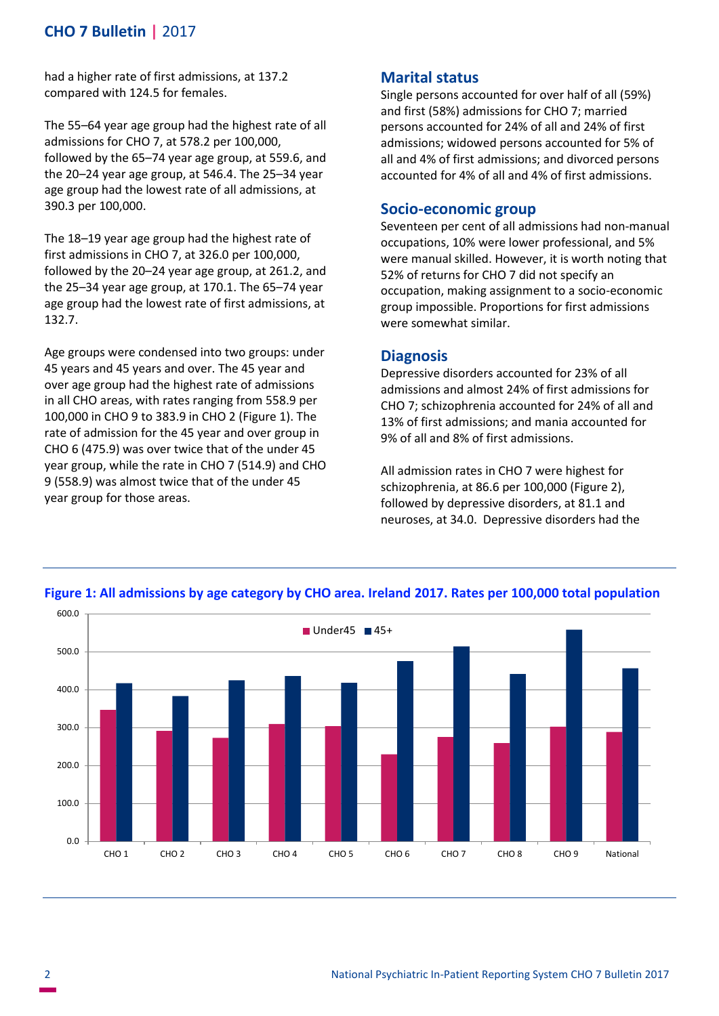## **CHO 7 Bulletin |** 2017

had a higher rate of first admissions, at 137.2 compared with 124.5 for females.

The 55–64 year age group had the highest rate of all admissions for CHO 7, at 578.2 per 100,000, followed by the 65–74 year age group, at 559.6, and the 20–24 year age group, at 546.4. The 25–34 year age group had the lowest rate of all admissions, at 390.3 per 100,000.

The 18–19 year age group had the highest rate of first admissions in CHO 7, at 326.0 per 100,000, followed by the 20–24 year age group, at 261.2, and the 25–34 year age group, at 170.1. The 65–74 year age group had the lowest rate of first admissions, at 132.7.

Age groups were condensed into two groups: under 45 years and 45 years and over. The 45 year and over age group had the highest rate of admissions in all CHO areas, with rates ranging from 558.9 per 100,000 in CHO 9 to 383.9 in CHO 2 (Figure 1). The rate of admission for the 45 year and over group in CHO 6 (475.9) was over twice that of the under 45 year group, while the rate in CHO 7 (514.9) and CHO 9 (558.9) was almost twice that of the under 45 year group for those areas.

### **Marital status**

Single persons accounted for over half of all (59%) and first (58%) admissions for CHO 7; married persons accounted for 24% of all and 24% of first admissions; widowed persons accounted for 5% of all and 4% of first admissions; and divorced persons accounted for 4% of all and 4% of first admissions.

#### **Socio-economic group**

Seventeen per cent of all admissions had non-manual occupations, 10% were lower professional, and 5% were manual skilled. However, it is worth noting that 52% of returns for CHO 7 did not specify an occupation, making assignment to a socio-economic group impossible. Proportions for first admissions were somewhat similar.

#### **Diagnosis**

Depressive disorders accounted for 23% of all admissions and almost 24% of first admissions for CHO 7; schizophrenia accounted for 24% of all and 13% of first admissions; and mania accounted for 9% of all and 8% of first admissions.

All admission rates in CHO 7 were highest for schizophrenia, at 86.6 per 100,000 (Figure 2), followed by depressive disorders, at 81.1 and neuroses, at 34.0. Depressive disorders had the



#### **Figure 1: All admissions by age category by CHO area. Ireland 2017. Rates per 100,000 total population**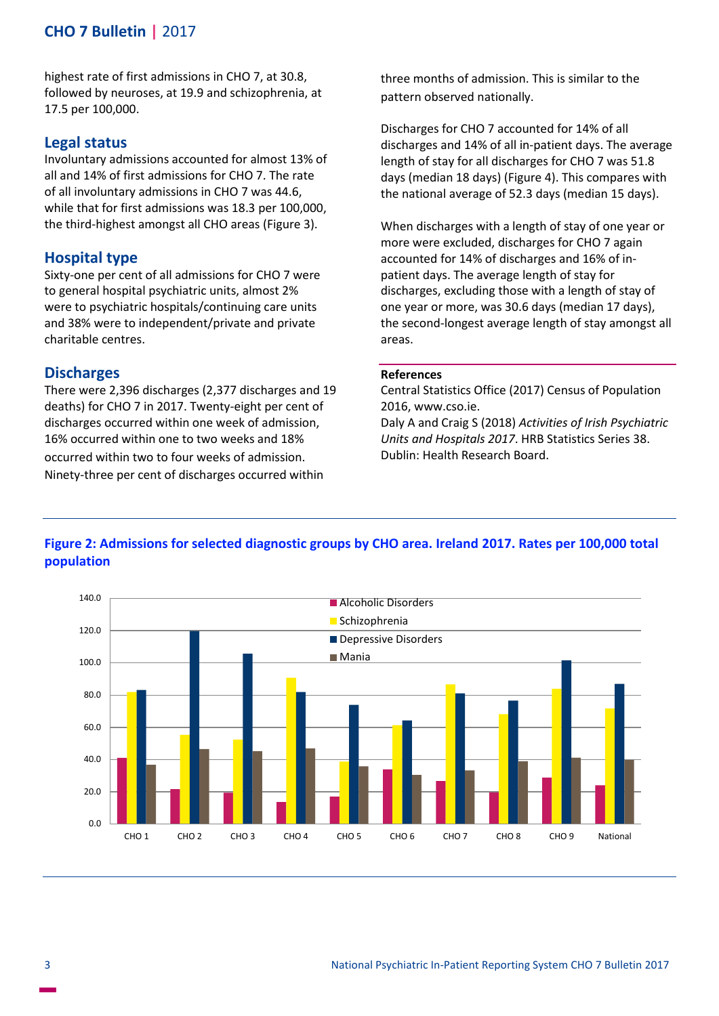## **CHO 7 Bulletin |** 2017

highest rate of first admissions in CHO 7, at 30.8, followed by neuroses, at 19.9 and schizophrenia, at 17.5 per 100,000.

#### **Legal status**

Involuntary admissions accounted for almost 13% of all and 14% of first admissions for CHO 7. The rate of all involuntary admissions in CHO 7 was 44.6, while that for first admissions was 18.3 per 100,000, the third-highest amongst all CHO areas (Figure 3).

#### **Hospital type**

Sixty-one per cent of all admissions for CHO 7 were to general hospital psychiatric units, almost 2% were to psychiatric hospitals/continuing care units and 38% were to independent/private and private charitable centres.

#### **Discharges**

There were 2,396 discharges (2,377 discharges and 19 deaths) for CHO 7 in 2017. Twenty-eight per cent of discharges occurred within one week of admission, 16% occurred within one to two weeks and 18% occurred within two to four weeks of admission. Ninety-three per cent of discharges occurred within

three months of admission. This is similar to the pattern observed nationally.

Discharges for CHO 7 accounted for 14% of all discharges and 14% of all in-patient days. The average length of stay for all discharges for CHO 7 was 51.8 days (median 18 days) (Figure 4). This compares with the national average of 52.3 days (median 15 days).

When discharges with a length of stay of one year or more were excluded, discharges for CHO 7 again accounted for 14% of discharges and 16% of inpatient days. The average length of stay for discharges, excluding those with a length of stay of one year or more, was 30.6 days (median 17 days), the second-longest average length of stay amongst all areas.

#### **References**

Central Statistics Office (2017) Census of Population 2016, www.cso.ie.

Daly A and Craig S (2018) *Activities of Irish Psychiatric Units and Hospitals 2017*. HRB Statistics Series 38. Dublin: Health Research Board.



## **Figure 2: Admissions for selected diagnostic groups by CHO area. Ireland 2017. Rates per 100,000 total population**